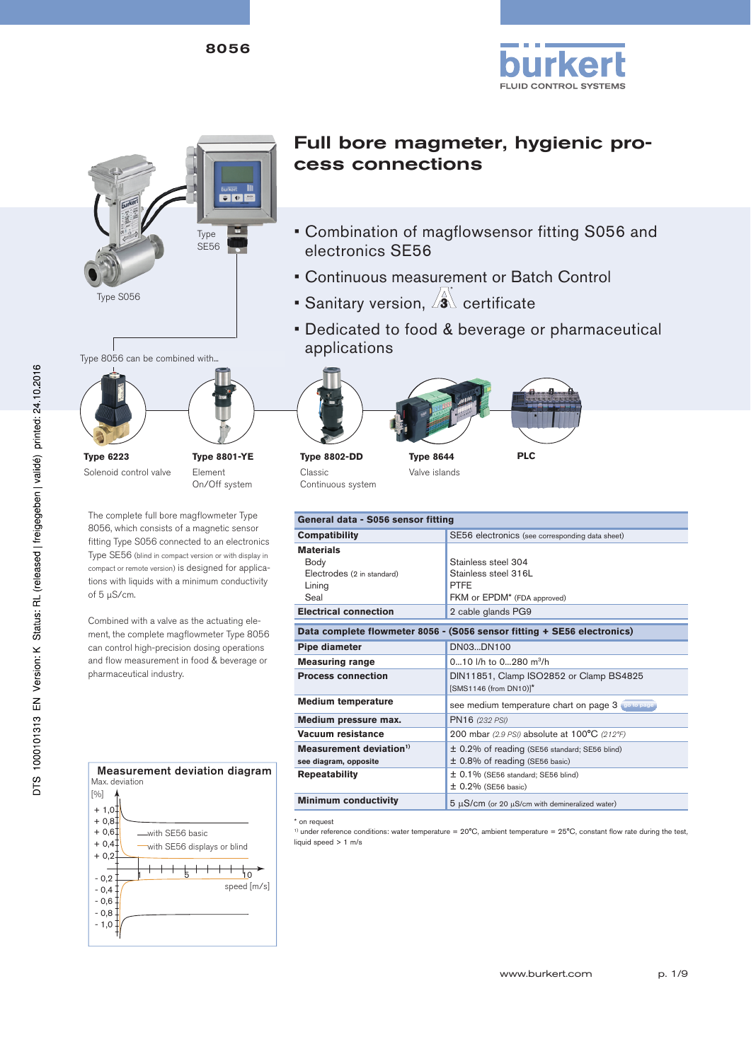



Type 8056 can be combined with... **Type 6223** Solenoid control valve **Type 8801-YE** Element

The complete full bore magflowmeter Type 8056, which consists of a magnetic sensor fitting Type S056 connected to an electronics Type SE56 (blind in compact version or with display in compact or remote version) is designed for applications with liquids with a minimum conductivity of 5 µS/cm.

On/Off system

Combined with a valve as the actuating element, the complete magflowmeter Type 8056 can control high-precision dosing operations and flow measurement in food & beverage or pharmaceutical industry.



## Full bore magmeter, hygienic process connections

- Combination of magflowsensor fitting S056 and electronics SE56
- Continuous measurement or Batch Control
- Sanitary version,  $\sqrt{2}$  certificate
- Dedicated to food & beverage or pharmaceutical applications





**Type 8644** Valve islands



| General data - S056 sensor fitting  |                                                                         |  |  |  |  |  |  |
|-------------------------------------|-------------------------------------------------------------------------|--|--|--|--|--|--|
| <b>Compatibility</b>                | SE56 electronics (see corresponding data sheet)                         |  |  |  |  |  |  |
| <b>Materials</b>                    |                                                                         |  |  |  |  |  |  |
| Body                                | Stainless steel 304                                                     |  |  |  |  |  |  |
| Electrodes (2 in standard)          | Stainless steel 316L                                                    |  |  |  |  |  |  |
| Lining                              | <b>PTFE</b>                                                             |  |  |  |  |  |  |
| Seal                                | FKM or EPDM <sup>*</sup> (FDA approved)                                 |  |  |  |  |  |  |
| <b>Electrical connection</b>        | 2 cable glands PG9                                                      |  |  |  |  |  |  |
|                                     |                                                                         |  |  |  |  |  |  |
|                                     | Data complete flowmeter 8056 - (S056 sensor fitting + SE56 electronics) |  |  |  |  |  |  |
| Pipe diameter                       | DN03DN100                                                               |  |  |  |  |  |  |
| <b>Measuring range</b>              | 010 l/h to 0280 m <sup>3</sup> /h                                       |  |  |  |  |  |  |
| <b>Process connection</b>           | DIN11851, Clamp ISO2852 or Clamp BS4825                                 |  |  |  |  |  |  |
|                                     | [SMS1146 (from DN10)]*                                                  |  |  |  |  |  |  |
| <b>Medium temperature</b>           | see medium temperature chart on page 3 (so to page)                     |  |  |  |  |  |  |
| Medium pressure max.                | PN16 (232 PSI)                                                          |  |  |  |  |  |  |
| Vacuum resistance                   | 200 mbar (2.9 PSI) absolute at 100°C (212°F)                            |  |  |  |  |  |  |
| Measurement deviation <sup>1)</sup> | ± 0.2% of reading (SE56 standard; SE56 blind)                           |  |  |  |  |  |  |
| see diagram, opposite               | $\pm$ 0.8% of reading (SE56 basic)                                      |  |  |  |  |  |  |
| <b>Repeatability</b>                | $\pm$ 0.1% (SE56 standard; SE56 blind)                                  |  |  |  |  |  |  |
|                                     | $\pm$ 0.2% (SE56 basic)                                                 |  |  |  |  |  |  |
| <b>Minimum conductivity</b>         | $5 \mu S/cm$ (or 20 $\mu S/cm$ with demineralized water)                |  |  |  |  |  |  |

\* on request

<sup>1)</sup> under reference conditions: water temperature =  $20^{\circ}$ C, ambient temperature =  $25^{\circ}$ C, constant flow rate during the test, liquid speed > 1 m/s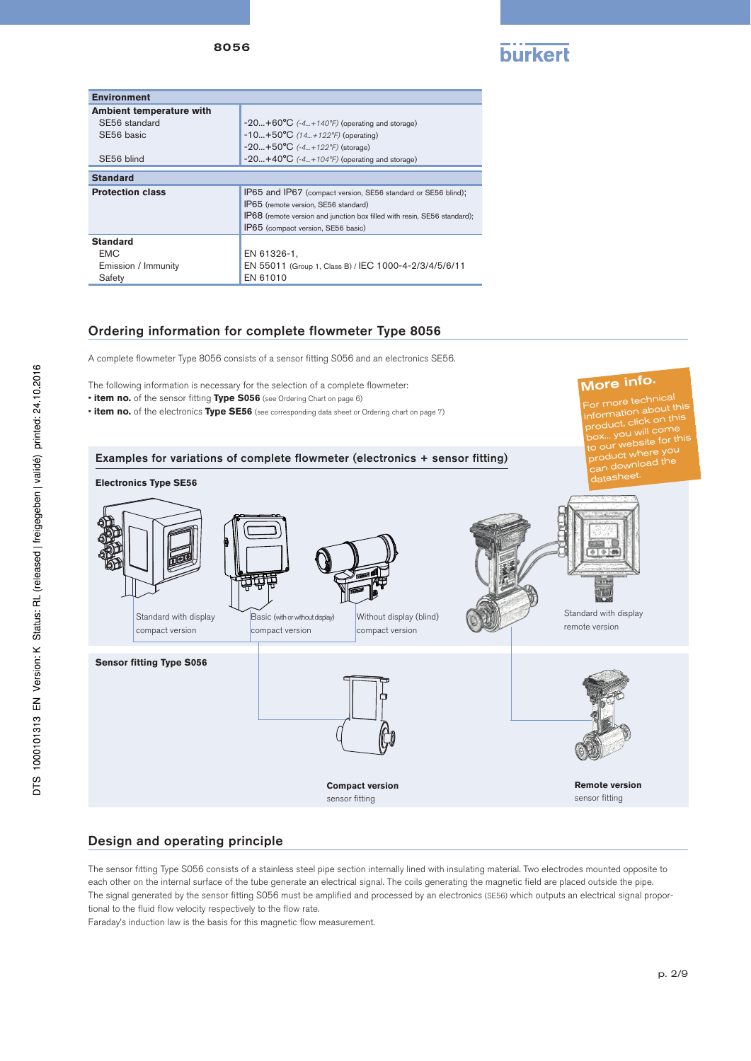8056



More info.

re technica  $\overline{\mathrm{out}}$  this

| <b>Environment</b>       |                                                                          |
|--------------------------|--------------------------------------------------------------------------|
| Ambient temperature with |                                                                          |
| SE56 standard            | $-20+60^{\circ}C$ (-4+140°F) (operating and storage)                     |
| SE56 basic               | $-10+50^{\circ}C$ (14+122°F) (operating)                                 |
|                          | $-20+50°C$ (-4+122°F) (storage)                                          |
| SE56 blind               | $-20+40^{\circ}C$ (-4+104°F) (operating and storage)                     |
| <b>Standard</b>          |                                                                          |
| <b>Protection class</b>  | IP65 and IP67 (compact version, SE56 standard or SE56 blind);            |
|                          | IP65 (remote version, SE56 standard)                                     |
|                          | IP68 (remote version and junction box filled with resin, SE56 standard); |
|                          | IP65 (compact version, SE56 basic)                                       |
| <b>Standard</b>          |                                                                          |
| <b>EMC</b>               | EN 61326-1,                                                              |
| Emission / Immunity      | EN 55011 (Group 1, Class B) / IEC 1000-4-2/3/4/5/6/11                    |
| Safety                   | EN 61010                                                                 |

### Ordering information for complete flowmeter Type 8056

A complete flowmeter Type 8056 consists of a sensor fitting S056 and an electronics SE56.

The following information is necessary for the selection of a complete flowmeter:

- **item no.** of the sensor fitting **Type S056** (see Ordering Chart on page 6)
- **item no.** of the electronics **Type SE56** (see corresponding data sheet or Ordering chart on page 7)



### Design and operating principle

The sensor fitting Type S056 consists of a stainless steel pipe section internally lined with insulating material. Two electrodes mounted opposite to each other on the internal surface of the tube generate an electrical signal. The coils generating the magnetic field are placed outside the pipe. The signal generated by the sensor fitting S056 must be amplified and processed by an electronics (SE56) which outputs an electrical signal proportional to the fluid flow velocity respectively to the flow rate.

Faraday's induction law is the basis for this magnetic flow measurement.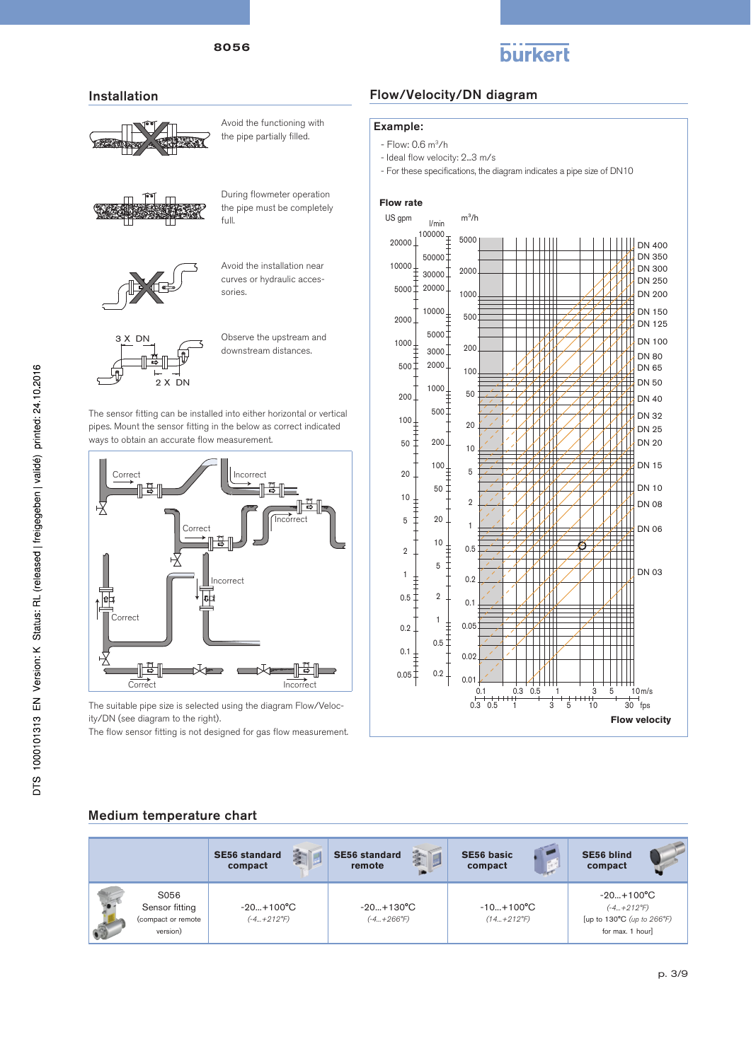

#### Installation



Avoid the functioning with the pipe partially filled.



During flowmeter operation the pipe must be completely full.



Avoid the installation near curves or hydraulic accessories



Observe the upstream and downstream distances.

The sensor fitting can be installed into either horizontal or vertical pipes. Mount the sensor fitting in the below as correct indicated ways to obtain an accurate flow measurement.



The suitable pipe size is selected using the diagram Flow/Velocity/DN (see diagram to the right).

The flow sensor fitting is not designed for gas flow measurement.

### Flow/Velocity/DN diagram

#### Example:

- Flow: 0.6 m3/h
- Ideal flow velocity: 2...3 m/s
- For these specifications, the diagram indicates a pipe size of DN10

#### **Flow rate** US gpm  $m^3/h$ l/min  $20000 \downarrow$ <sup>100000</sup>  $\ddagger$  5000 DN 400 DN 350  $500001$ 10000 DN 300 2000 30000 DN 250 20000 5000 DN 200 1000 DN 150 10000 500 2000 DN 125 5000 DN 100 1000  $3000^{-}$ 200 DN 80  $500<sup>+</sup>$ 2000 DN 65 100 DN 50  $1000 -$ 200 50 **DN 40** ЖИ  $500<sup>†</sup>$ DN 32  $100<sub>1</sub>$ 20 DN 25 ŧ 50 200. DN 20  $10$ DN 15  $100<sub>+</sub>$  $\overline{5}$  $20$ DN 10 50  $10$  $\overline{2}$ DN 08  $\ddagger$ 5 20  $\overline{1}$ DN 06  $10$  $0.5$  $\overline{2}$  $\overline{5}$  $\Box$ DN 03  $\overline{1}$  $\frac{1}{1}$  $0.2$  $0.5$  $\overline{2}$  $0.1$  $\overline{1}$ È  $0.05$  $0.2$  $0.5$ TTT  $\Box$  $0.1$  $\frac{1}{\epsilon}$  $0.02$  $0.05\frac{1}{5}$  $0.2$  $0.01$  $10<sub>m/s</sub>$ 0.1 0.3 0.5 1 3 5 10  $0.3$   $0.5$  1  $3$   $5$  10  $\frac{1}{30}$  fps **Flow velocity**

### Medium temperature chart

|                                                          | 鸾<br><b>SE56 standard</b><br>compact | 新闻<br><b>SE56 standard</b><br>remote      | <b>SE56 basic</b><br>compact              | <b>SE56 blind</b><br>compact                                                                |
|----------------------------------------------------------|--------------------------------------|-------------------------------------------|-------------------------------------------|---------------------------------------------------------------------------------------------|
| S056<br>Sensor fitting<br>(compact or remote<br>version) | $-20+100°C$<br>$(-4+212^{\circ}F)$   | $-20+130^{\circ}C$<br>$(-4+266^{\circ}F)$ | $-10+100^{\circ}C$<br>$(14+212^{\circ}F)$ | $-20+100^{\circ}C$<br>$(-4+212^{\circ}F)$<br>[up to 130°C (up to 266°F)<br>for max. 1 hour] |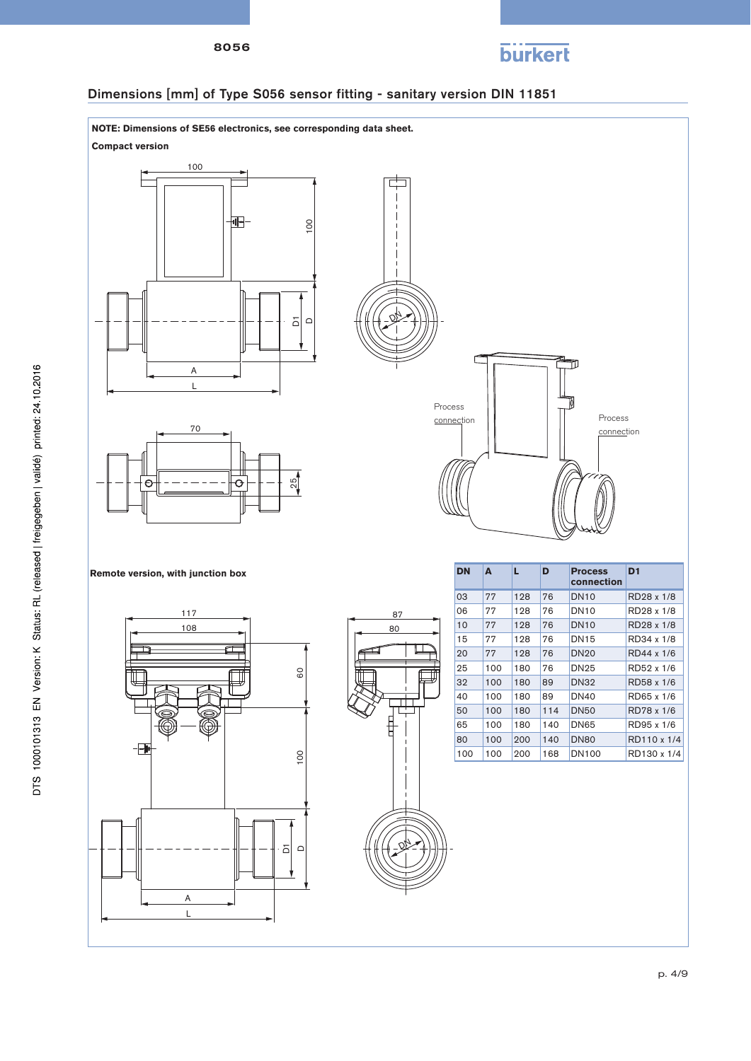



### Dimensions [mm] of Type S056 sensor fitting - sanitary version DIN 11851

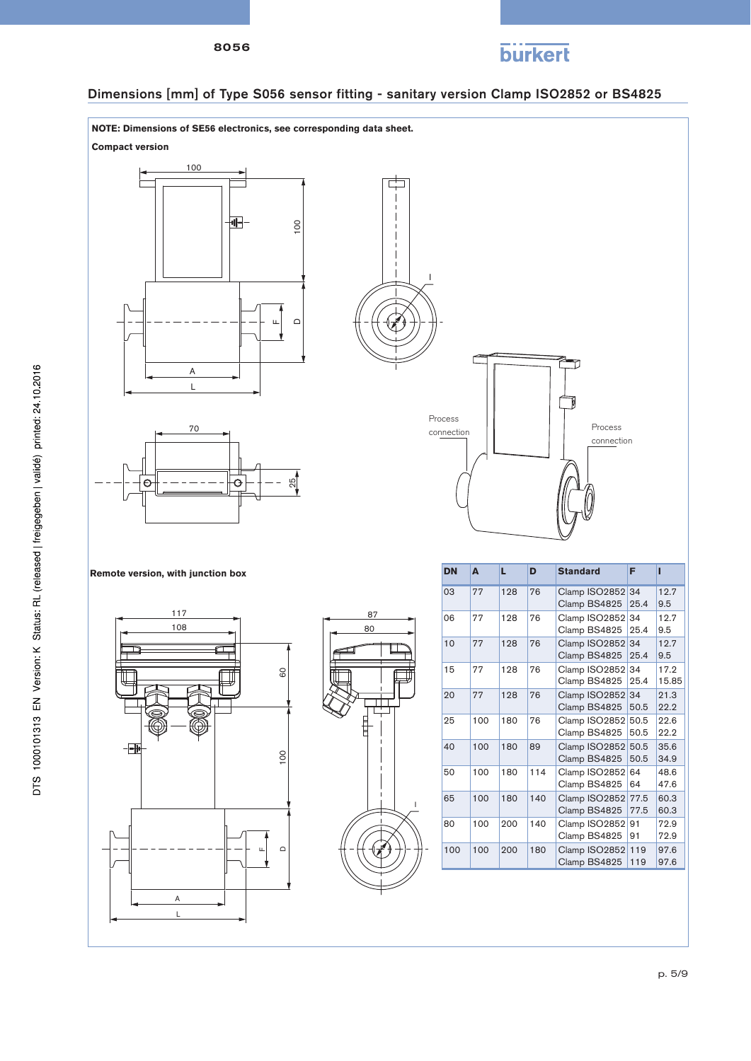



### Dimensions [mm] of Type S056 sensor fitting - sanitary version Clamp ISO2852 or BS4825

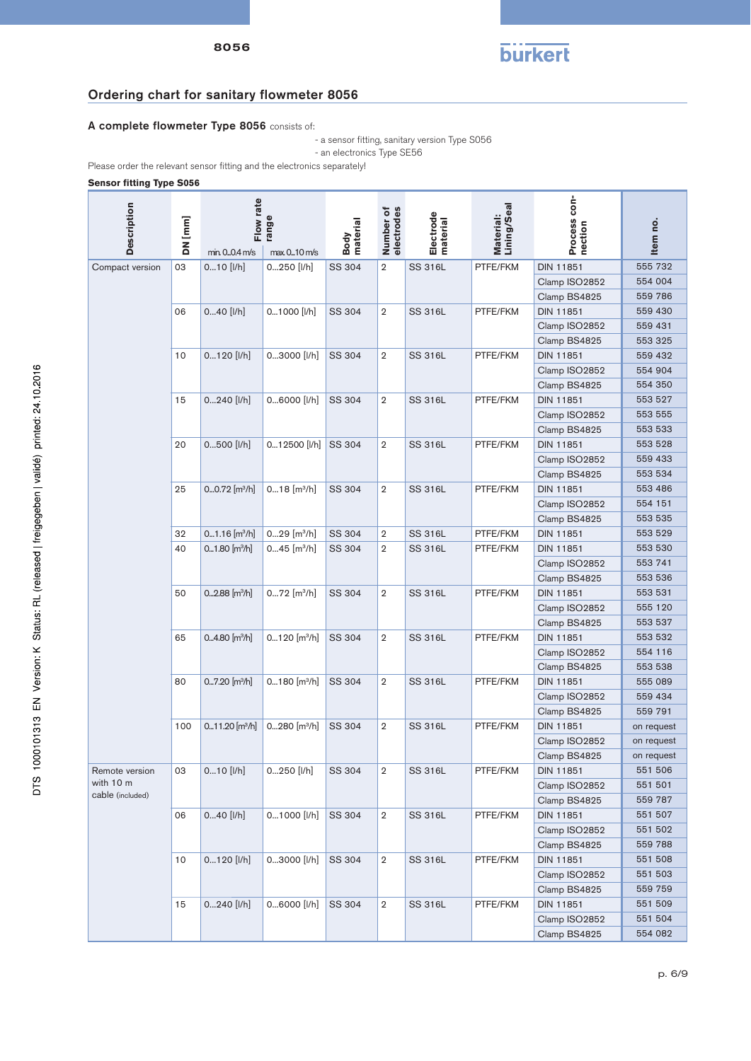

### Ordering chart for sanitary flowmeter 8056

### A complete flowmeter Type 8056 consists of:

 - a sensor fitting, sanitary version Type S056 - an electronics Type SE56

Please order the relevant sensor fitting and the electronics separately!

#### **Sensor fitting Type S056**

| <b>Description</b> | DN [mm] | Flow rate<br>min. 00.4 m/s    | range<br>max 010 m/s       | Body<br>material | Number of<br>electrodes | Electrode<br>material | Material:<br>Lining/Seal | Process con-<br>nection | Item no.   |
|--------------------|---------|-------------------------------|----------------------------|------------------|-------------------------|-----------------------|--------------------------|-------------------------|------------|
| Compact version    | 03      | $010$ [I/h]                   | 0250 [I/h]                 | SS 304           | $\overline{2}$          | SS 316L               | PTFE/FKM                 | <b>DIN 11851</b>        | 555 732    |
|                    |         |                               |                            |                  |                         |                       |                          | Clamp ISO2852           | 554 004    |
|                    |         |                               |                            |                  |                         |                       |                          | Clamp BS4825            | 559 786    |
|                    | 06      | $040$ [I/h]                   | 01000 [I/h]                | SS 304           | $\overline{2}$          | SS 316L               | PTFE/FKM                 | DIN 11851               | 559 430    |
|                    |         |                               |                            |                  |                         |                       |                          | Clamp ISO2852           | 559 431    |
|                    |         |                               |                            |                  |                         |                       |                          | Clamp BS4825            | 553 325    |
|                    | 10      | $0120$ [I/h]                  | 03000 [I/h]                | SS 304           | $\overline{2}$          | SS 316L               | PTFE/FKM                 | DIN 11851               | 559 432    |
|                    |         |                               |                            |                  |                         |                       |                          | Clamp ISO2852           | 554 904    |
|                    |         |                               |                            |                  |                         |                       |                          | Clamp BS4825            | 554 350    |
|                    | 15      | $0240$ [I/h]                  | 06000 [I/h]                | SS 304           | $\overline{2}$          | SS 316L               | PTFE/FKM                 | DIN 11851               | 553 527    |
|                    |         |                               |                            |                  |                         |                       |                          | Clamp ISO2852           | 553 555    |
|                    |         |                               |                            |                  |                         |                       |                          | Clamp BS4825            | 553 533    |
|                    | 20      | 0500 [I/h]                    | 012500 [I/h]               | SS 304           | $\overline{2}$          | SS 316L               | PTFE/FKM                 | DIN 11851               | 553 528    |
|                    |         |                               |                            |                  |                         |                       |                          | Clamp ISO2852           | 559 433    |
|                    |         |                               |                            |                  |                         |                       |                          | Clamp BS4825            | 553 534    |
|                    | 25      | $00.72$ [m <sup>3</sup> /h]   | $018$ [m <sup>3</sup> /h]  | SS 304           | $\overline{2}$          | SS 316L               | PTFE/FKM                 | <b>DIN 11851</b>        | 553 486    |
|                    |         |                               |                            |                  |                         |                       |                          | Clamp ISO2852           | 554 151    |
|                    |         |                               |                            |                  |                         |                       |                          | Clamp BS4825            | 553 535    |
|                    | 32      | $01.16$ [m <sup>3</sup> /h]   | $029$ [m <sup>3</sup> /h]  | SS 304           | $\overline{2}$          | SS 316L               | PTFE/FKM                 | DIN 11851               | 553 529    |
|                    | 40      | $0.1.80$ [m <sup>3</sup> /h]  | $045$ [m <sup>3</sup> /h]  | SS 304           | 2                       | SS 316L               | PTFE/FKM                 | DIN 11851               | 553 530    |
|                    |         |                               |                            |                  |                         |                       | Clamp ISO2852            | 553 741                 |            |
|                    |         |                               |                            |                  |                         |                       |                          | Clamp BS4825            | 553 536    |
|                    | 50      | $0.288$ [m <sup>3</sup> /h]   | $072$ [m <sup>3</sup> /h]  | SS 304           | $\overline{2}$          | <b>SS 316L</b>        | PTFE/FKM                 | <b>DIN 11851</b>        | 553 531    |
|                    |         |                               |                            |                  |                         |                       |                          | Clamp ISO2852           | 555 120    |
|                    |         |                               |                            |                  |                         |                       |                          | Clamp BS4825            | 553 537    |
|                    | 65      | 04.80 $[m^3/h]$               | $0120$ [m <sup>3</sup> /h] | SS 304           | $\overline{2}$          | SS 316L               | PTFE/FKM                 | <b>DIN 11851</b>        | 553 532    |
|                    |         |                               |                            |                  |                         |                       |                          | Clamp ISO2852           | 554 116    |
|                    |         |                               |                            |                  |                         |                       |                          | Clamp BS4825            | 553 538    |
|                    | 80      | $0.7.20$ [m <sup>3</sup> /h]  | $0180$ [m <sup>3</sup> /h] | SS 304           | $\overline{2}$          | SS 316L               | PTFE/FKM                 | <b>DIN 11851</b>        | 555 089    |
|                    |         |                               |                            |                  |                         |                       |                          | Clamp ISO2852           | 559 434    |
|                    |         |                               |                            |                  |                         |                       |                          | Clamp BS4825            | 559 791    |
|                    | 100     | $0.11.20$ [m <sup>3</sup> /h] | $0280$ [m <sup>3</sup> /h] | SS 304           | 2                       | SS 316L               | PTFE/FKM                 | DIN 11851               | on request |
|                    |         |                               |                            |                  |                         |                       |                          | Clamp ISO2852           | on request |
|                    |         |                               |                            |                  |                         |                       |                          | Clamp BS4825            | on request |
| Remote version     | 03      | $010$ [I/h]                   | 0250 [I/h]                 | SS 304           | 2                       | SS 316L               | PTFE/FKM                 | DIN 11851               | 551 506    |
| with 10 m          |         |                               |                            |                  |                         |                       |                          | Clamp ISO2852           | 551 501    |
| cable (included)   |         |                               |                            |                  |                         |                       |                          | Clamp BS4825            | 559 787    |
|                    | 06      | $040$ [I/h]                   | 01000 [I/h]                | SS 304           | 2                       | SS 316L               | PTFE/FKM                 | <b>DIN 11851</b>        | 551 507    |
|                    |         |                               |                            |                  |                         |                       |                          | Clamp ISO2852           | 551 502    |
|                    |         |                               |                            |                  |                         |                       |                          | Clamp BS4825            | 559 788    |
|                    | 10      | $0120$ [I/h]                  | 03000 [I/h]                | SS 304           | $\overline{2}$          | SS 316L               | PTFE/FKM                 | DIN 11851               | 551 508    |
|                    |         |                               |                            |                  |                         |                       |                          | Clamp ISO2852           | 551 503    |
|                    |         |                               |                            |                  |                         |                       |                          | Clamp BS4825            | 559 759    |
|                    | 15      | 0240 [I/h]                    | 06000 [I/h]                | SS 304           | 2                       | SS 316L               | PTFE/FKM                 | DIN 11851               | 551 509    |
|                    |         |                               |                            |                  |                         |                       |                          | Clamp ISO2852           | 551 504    |
|                    |         |                               |                            |                  |                         |                       |                          | Clamp BS4825            | 554 082    |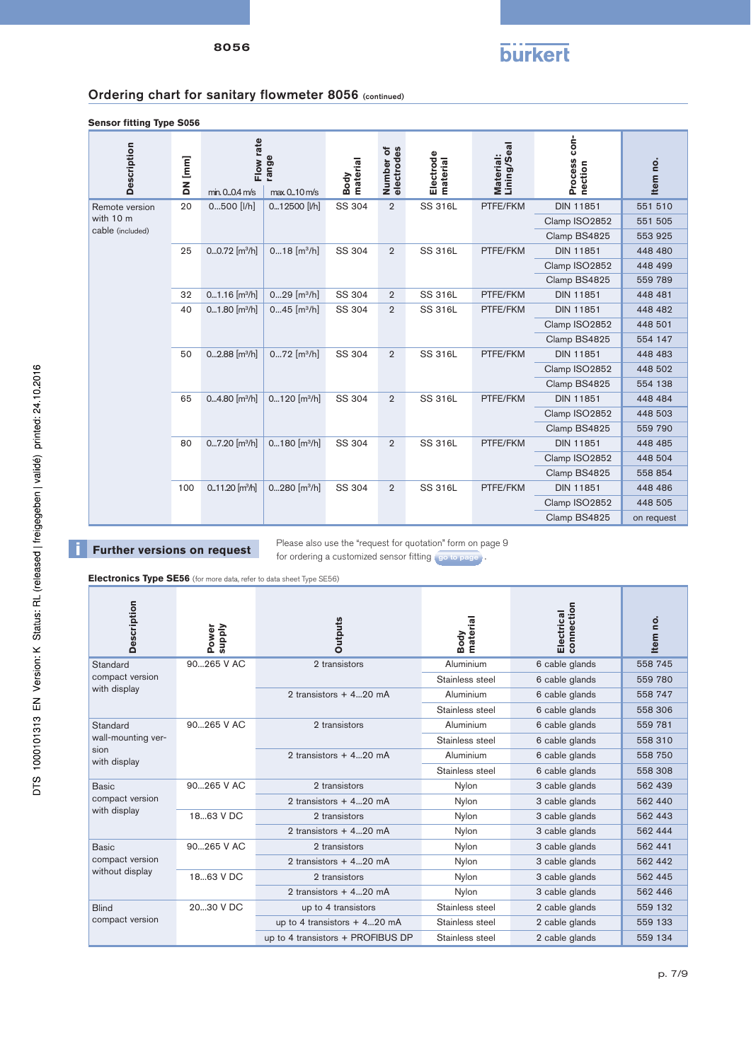

### Ordering chart for sanitary flowmeter 8056 (continued)

**Sensor fitting Type S056**

| <b>Description</b>            | DN [mm] | Flow rate<br>min. 00.4 m/s  | range<br>max 010 m/s       | material<br>Body | Number of<br>electrodes | Electrode<br>material | Material:<br>Lining/Seal | Process con-<br>nection       | Item no.                   |        |                |                |          |                  |         |
|-------------------------------|---------|-----------------------------|----------------------------|------------------|-------------------------|-----------------------|--------------------------|-------------------------------|----------------------------|--------|----------------|----------------|----------|------------------|---------|
| Remote version                | 20      | 0500 [I/h]                  | 012500 [I/h]               | SS 304           | $\overline{2}$          | <b>SS 316L</b>        | PTFE/FKM                 | <b>DIN 11851</b>              | 551 510                    |        |                |                |          |                  |         |
| with 10 m<br>cable (included) |         |                             |                            |                  |                         |                       |                          | Clamp ISO2852                 | 551 505                    |        |                |                |          |                  |         |
|                               |         |                             |                            |                  |                         |                       |                          | Clamp BS4825                  | 553 925                    |        |                |                |          |                  |         |
|                               | 25      | $00.72$ [m <sup>3</sup> /h] | $018$ [m <sup>3</sup> /h]  | SS 304           | $\overline{2}$          | SS 316L               | PTFE/FKM                 | <b>DIN 11851</b>              | 448 480                    |        |                |                |          |                  |         |
|                               |         |                             |                            |                  |                         |                       |                          | Clamp ISO2852                 | 448 499                    |        |                |                |          |                  |         |
|                               |         |                             |                            |                  |                         |                       |                          | Clamp BS4825                  | 559 789                    |        |                |                |          |                  |         |
|                               | 32      | $01.16$ [m <sup>3</sup> /h] | $029$ [m <sup>3</sup> /h]  | SS 304           | $\overline{2}$          | <b>SS 316L</b>        | PTFE/FKM                 | <b>DIN 11851</b>              | 448 481                    |        |                |                |          |                  |         |
|                               | 40      | $01.80$ [m <sup>3</sup> /h] | $045$ [m <sup>3</sup> /h]  | SS 304           | $\overline{2}$          | SS 316L               | PTFE/FKM                 | <b>DIN 11851</b>              | 448 482                    |        |                |                |          |                  |         |
|                               |         |                             |                            |                  |                         |                       |                          | Clamp ISO2852                 | 448 501                    |        |                |                |          |                  |         |
|                               |         |                             |                            |                  |                         |                       |                          | Clamp BS4825                  | 554 147                    |        |                |                |          |                  |         |
|                               | 50      | $02.88$ [m <sup>3</sup> /h] | $072$ [m <sup>3</sup> /h]  | SS 304           | $\overline{2}$          | SS 316L               | PTFE/FKM                 | <b>DIN 11851</b>              | 448 483                    |        |                |                |          |                  |         |
|                               |         |                             |                            |                  |                         |                       |                          | Clamp ISO2852                 | 448 502                    |        |                |                |          |                  |         |
|                               |         |                             |                            |                  |                         |                       |                          | Clamp BS4825                  | 554 138                    |        |                |                |          |                  |         |
|                               | 65      | $04.80$ [m <sup>3</sup> /h] | $0120$ [m <sup>3</sup> /h] | SS 304           | $\overline{2}$          | <b>SS 316L</b>        | PTFE/FKM                 | <b>DIN 11851</b>              | 448 484                    |        |                |                |          |                  |         |
|                               |         |                             |                            |                  |                         |                       |                          | Clamp ISO2852                 | 448 503                    |        |                |                |          |                  |         |
|                               |         |                             |                            |                  |                         |                       |                          | Clamp BS4825                  | 559 790                    |        |                |                |          |                  |         |
|                               | 80      | $07.20$ [m <sup>3</sup> /h] | $0180$ [m <sup>3</sup> /h] | SS 304           | $\overline{2}$          | <b>SS 316L</b>        | PTFE/FKM                 | <b>DIN 11851</b>              | 448 485                    |        |                |                |          |                  |         |
|                               |         |                             |                            |                  |                         |                       |                          | Clamp ISO2852                 | 448 504                    |        |                |                |          |                  |         |
|                               |         |                             |                            |                  |                         |                       |                          | Clamp BS4825                  | 558 854                    |        |                |                |          |                  |         |
|                               | 100     |                             |                            |                  |                         |                       |                          | $0.11.20$ [m <sup>3</sup> /h] | $0280$ [m <sup>3</sup> /h] | SS 304 | $\overline{2}$ | <b>SS 316L</b> | PTFE/FKM | <b>DIN 11851</b> | 448 486 |
|                               |         |                             |                            |                  |                         |                       |                          | Clamp ISO2852                 | 448 505                    |        |                |                |          |                  |         |
|                               |         |                             |                            |                  |                         |                       |                          | Clamp BS4825                  | on request                 |        |                |                |          |                  |         |

**Further versions on request** Please also use the "request for quotation" form on page 9 for ordering a customized sensor fitting go to page.

**Electronics Type SE56** (for more data, refer to data sheet Type SE56)

| Description                     | Power<br><b>Supply</b> | <b>Outputs</b>                    | material<br>Body | connection<br>Electrical | Item no. |
|---------------------------------|------------------------|-----------------------------------|------------------|--------------------------|----------|
| Standard                        | 90265 V AC             | 2 transistors                     | Aluminium        | 6 cable glands           | 558 745  |
| compact version                 |                        |                                   | Stainless steel  | 6 cable glands           | 559 780  |
| with display                    |                        | 2 transistors + 420 mA            | Aluminium        | 6 cable glands           | 558 747  |
|                                 |                        |                                   | Stainless steel  | 6 cable glands           | 558 306  |
| Standard                        | 90265 V AC             | 2 transistors                     | Aluminium        | 6 cable glands           | 559 781  |
| wall-mounting ver-              |                        |                                   | Stainless steel  | 6 cable glands           | 558 310  |
| sion<br>with display            |                        | 2 transistors + 420 mA            | Aluminium        | 6 cable glands           | 558 750  |
|                                 |                        |                                   | Stainless steel  | 6 cable glands           | 558 308  |
| <b>Basic</b><br>compact version | 90265 V AC             | 2 transistors                     | Nylon            | 3 cable glands           | 562 439  |
|                                 |                        | 2 transistors $+420$ mA           | Nylon            | 3 cable glands           | 562 440  |
| with display                    | 1863 V DC              | 2 transistors                     | Nylon            | 3 cable glands           | 562 443  |
|                                 |                        | 2 transistors + 420 mA            | Nylon            | 3 cable glands           | 562 444  |
| Basic                           | 90265 V AC             | 2 transistors                     | Nylon            | 3 cable glands           | 562 441  |
| compact version                 |                        | 2 transistors $+420$ mA           | Nylon            | 3 cable glands           | 562 442  |
| without display                 | 1863 V DC              | 2 transistors                     | Nylon            | 3 cable glands           | 562 445  |
|                                 |                        | 2 transistors + 420 mA            | Nylon            | 3 cable glands           | 562 446  |
| <b>Blind</b>                    | 2030 V DC              | up to 4 transistors               | Stainless steel  | 2 cable glands           | 559 132  |
| compact version                 |                        | up to 4 transistors $+ 420$ mA    | Stainless steel  | 2 cable glands           | 559 133  |
|                                 |                        | up to 4 transistors + PROFIBUS DP | Stainless steel  | 2 cable glands           | 559 134  |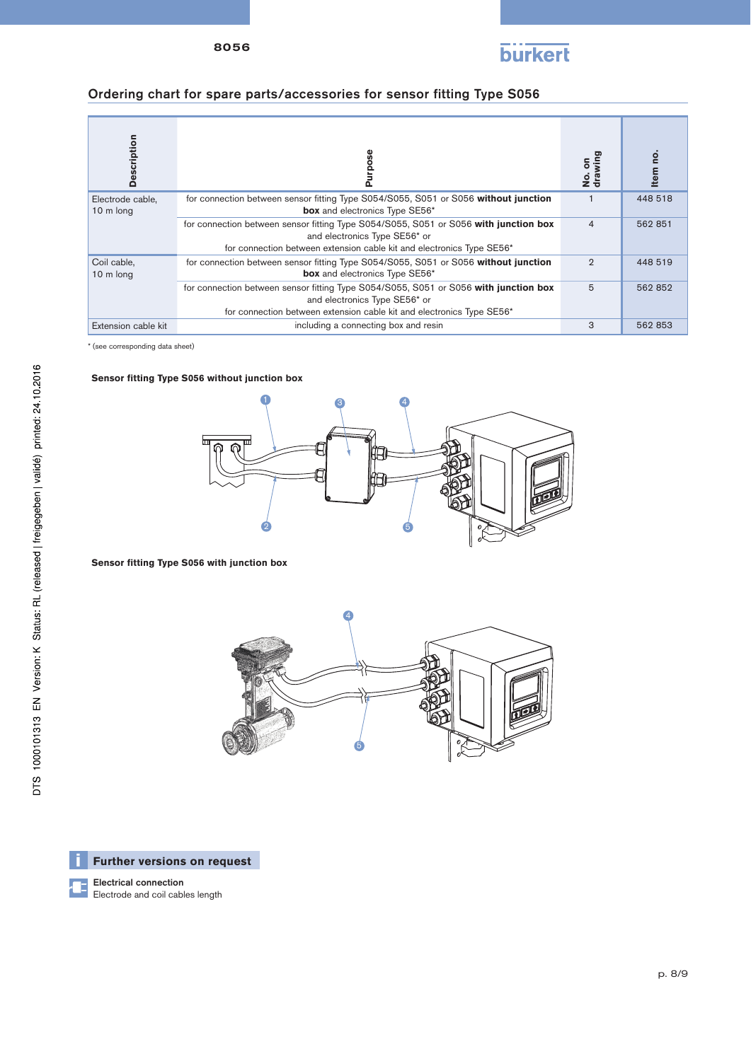

### Ordering chart for spare parts/accessories for sensor fitting Type S056

| Description                   |                                                                                                                                                                                                | No.on<br>drawing | Item no. |
|-------------------------------|------------------------------------------------------------------------------------------------------------------------------------------------------------------------------------------------|------------------|----------|
| Electrode cable,<br>10 m long | for connection between sensor fitting Type S054/S055, S051 or S056 without junction<br>box and electronics Type SE56*                                                                          |                  | 448 518  |
|                               | for connection between sensor fitting Type S054/S055, S051 or S056 with junction box<br>and electronics Type SE56* or<br>for connection between extension cable kit and electronics Type SE56* | $\overline{4}$   | 562 851  |
| Coil cable,<br>10 m long      | for connection between sensor fitting Type S054/S055, S051 or S056 without junction<br>box and electronics Type SE56*                                                                          | $\overline{2}$   | 448 519  |
|                               | for connection between sensor fitting Type S054/S055, S051 or S056 with junction box<br>and electronics Type SE56* or<br>for connection between extension cable kit and electronics Type SE56* | 5                | 562 852  |
| Extension cable kit           | including a connecting box and resin                                                                                                                                                           | 3                | 562 853  |

\* (see corresponding data sheet)

### **Sensor fitting Type S056 without junction box**



### **Sensor fitting Type S056 with junction box**





Electrical connection Electrode and coil cables length